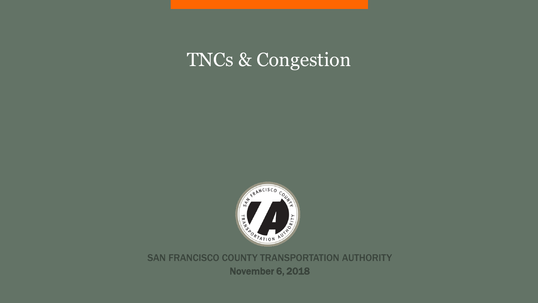# TNCs & Congestion



SAN FRANCISCO COUNTY TRANSPORTATION AUTHORITY November 6, 2018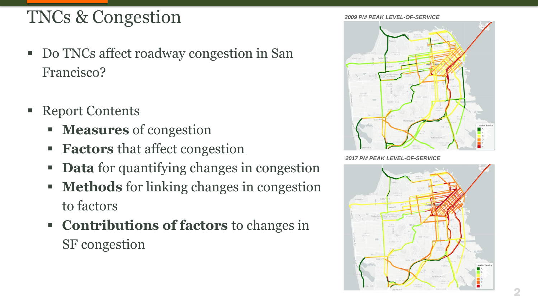# TNCs & Congestion

- Do TNCs affect roadway congestion in San Francisco?
- **Report Contents** 
	- **Measures** of congestion
	- **Factors** that affect congestion
	- **Data** for quantifying changes in congestion
	- **Methods** for linking changes in congestion to factors
	- **Contributions of factors** to changes in SF congestion

*2009 PM PEAK LEVEL-OF-SERVICE*



*2017 PM PEAK LEVEL-OF-SERVICE*

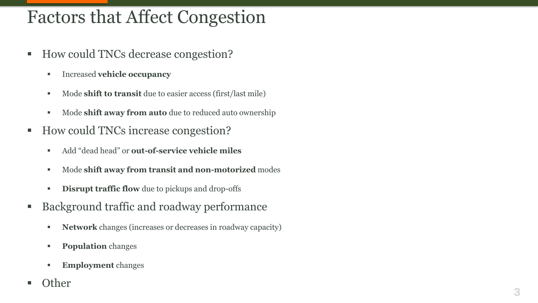# Factors that Affect Congestion

- How could TNCs decrease congestion?
	- Increased **vehicle occupancy**
	- Mode **shift to transit** due to easier access (first/last mile)
	- Mode **shift away from auto** due to reduced auto ownership
- How could TNCs increase congestion?
	- Add "dead head" or **out-of-service vehicle miles**
	- Mode **shift away from transit and non-motorized** modes
	- **EXECUTE:** Disrupt traffic flow due to pickups and drop-offs
- Background traffic and roadway performance
	- **Network** changes (increases or decreases in roadway capacity)
	- **Population** changes
	- **Employment** changes
- **Other**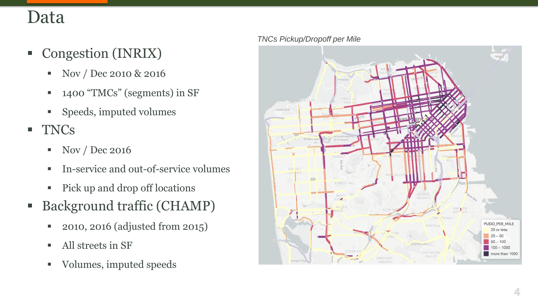## Data

- Congestion (INRIX)
	- Nov / Dec 2010 & 2016
	- 1400 "TMCs" (segments) in SF
	- Speeds, imputed volumes
- TNCs
	- Nov / Dec 2016
	- In-service and out-of-service volumes
	- Pick up and drop off locations
- Background traffic (CHAMP)
	- 2010, 2016 (adjusted from 2015)
	- All streets in SF
	- Volumes, imputed speeds

#### *TNCs Pickup/Dropoff per Mile*

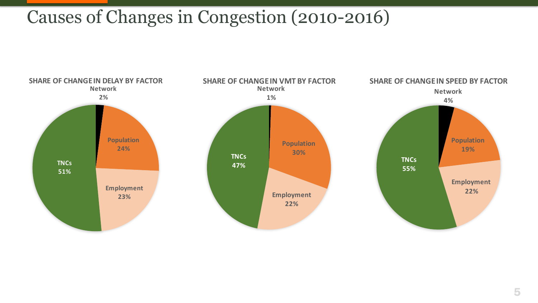#### Causes of Changes in Congestion (2010-2016)

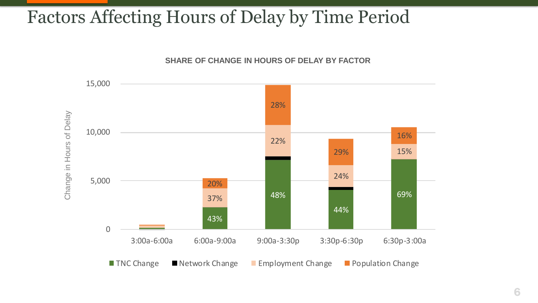## Factors Affecting Hours of Delay by Time Period



**SHARE OF CHANGE IN HOURS OF DELAY BY FACTOR**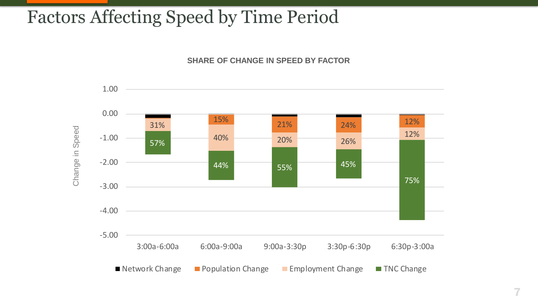## Factors Affecting Speed by Time Period

**SHARE OF CHANGE IN SPEED BY FACTOR**



7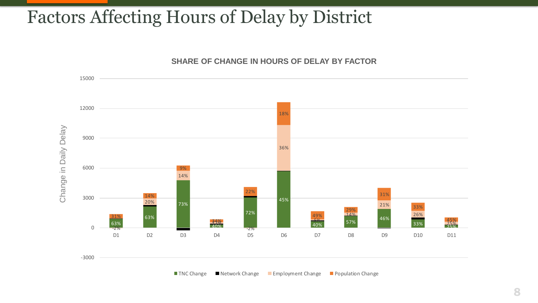#### Factors Affecting Hours of Delay by District



**■ TNC Change ■ Network Change ■ Employment Change ■ Population Change**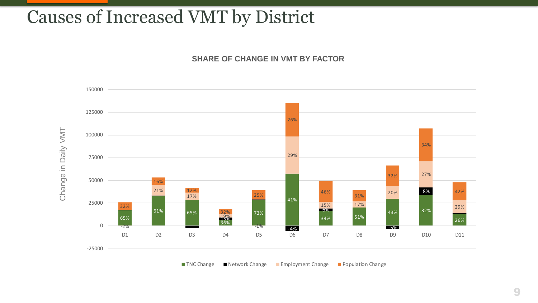#### Causes of Increased VMT by District

**SHARE OF CHANGE IN VMT BY FACTOR**



 $\blacksquare$  TNC Change  $\blacksquare$  Network Change  $\blacksquare$  Employment Change  $\blacksquare$  Population Change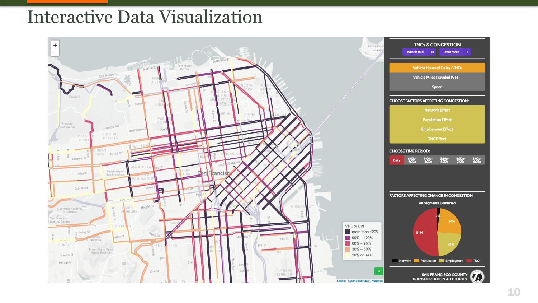## Interactive Data Visualization